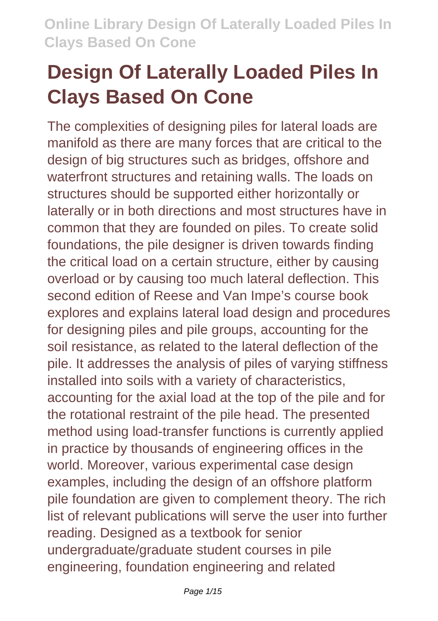# **Design Of Laterally Loaded Piles In Clays Based On Cone**

The complexities of designing piles for lateral loads are manifold as there are many forces that are critical to the design of big structures such as bridges, offshore and waterfront structures and retaining walls. The loads on structures should be supported either horizontally or laterally or in both directions and most structures have in common that they are founded on piles. To create solid foundations, the pile designer is driven towards finding the critical load on a certain structure, either by causing overload or by causing too much lateral deflection. This second edition of Reese and Van Impe's course book explores and explains lateral load design and procedures for designing piles and pile groups, accounting for the soil resistance, as related to the lateral deflection of the pile. It addresses the analysis of piles of varying stiffness installed into soils with a variety of characteristics, accounting for the axial load at the top of the pile and for the rotational restraint of the pile head. The presented method using load-transfer functions is currently applied in practice by thousands of engineering offices in the world. Moreover, various experimental case design examples, including the design of an offshore platform pile foundation are given to complement theory. The rich list of relevant publications will serve the user into further reading. Designed as a textbook for senior undergraduate/graduate student courses in pile engineering, foundation engineering and related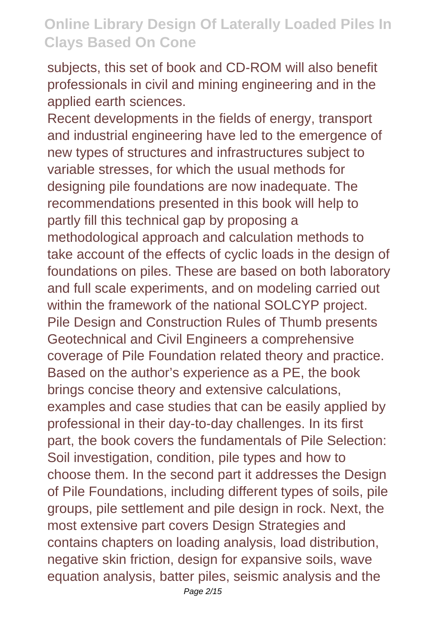subjects, this set of book and CD-ROM will also benefit professionals in civil and mining engineering and in the applied earth sciences.

Recent developments in the fields of energy, transport and industrial engineering have led to the emergence of new types of structures and infrastructures subject to variable stresses, for which the usual methods for designing pile foundations are now inadequate. The recommendations presented in this book will help to partly fill this technical gap by proposing a methodological approach and calculation methods to take account of the effects of cyclic loads in the design of foundations on piles. These are based on both laboratory and full scale experiments, and on modeling carried out within the framework of the national SOLCYP project. Pile Design and Construction Rules of Thumb presents Geotechnical and Civil Engineers a comprehensive coverage of Pile Foundation related theory and practice. Based on the author's experience as a PE, the book brings concise theory and extensive calculations, examples and case studies that can be easily applied by professional in their day-to-day challenges. In its first part, the book covers the fundamentals of Pile Selection: Soil investigation, condition, pile types and how to choose them. In the second part it addresses the Design of Pile Foundations, including different types of soils, pile groups, pile settlement and pile design in rock. Next, the most extensive part covers Design Strategies and contains chapters on loading analysis, load distribution, negative skin friction, design for expansive soils, wave equation analysis, batter piles, seismic analysis and the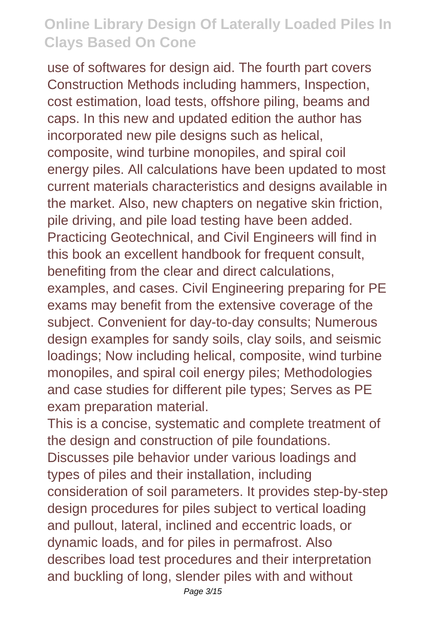use of softwares for design aid. The fourth part covers Construction Methods including hammers, Inspection, cost estimation, load tests, offshore piling, beams and caps. In this new and updated edition the author has incorporated new pile designs such as helical, composite, wind turbine monopiles, and spiral coil energy piles. All calculations have been updated to most current materials characteristics and designs available in the market. Also, new chapters on negative skin friction, pile driving, and pile load testing have been added. Practicing Geotechnical, and Civil Engineers will find in this book an excellent handbook for frequent consult. benefiting from the clear and direct calculations, examples, and cases. Civil Engineering preparing for PE exams may benefit from the extensive coverage of the subject. Convenient for day-to-day consults; Numerous design examples for sandy soils, clay soils, and seismic loadings; Now including helical, composite, wind turbine monopiles, and spiral coil energy piles; Methodologies and case studies for different pile types; Serves as PE exam preparation material.

This is a concise, systematic and complete treatment of the design and construction of pile foundations. Discusses pile behavior under various loadings and types of piles and their installation, including consideration of soil parameters. It provides step-by-step design procedures for piles subject to vertical loading and pullout, lateral, inclined and eccentric loads, or dynamic loads, and for piles in permafrost. Also describes load test procedures and their interpretation and buckling of long, slender piles with and without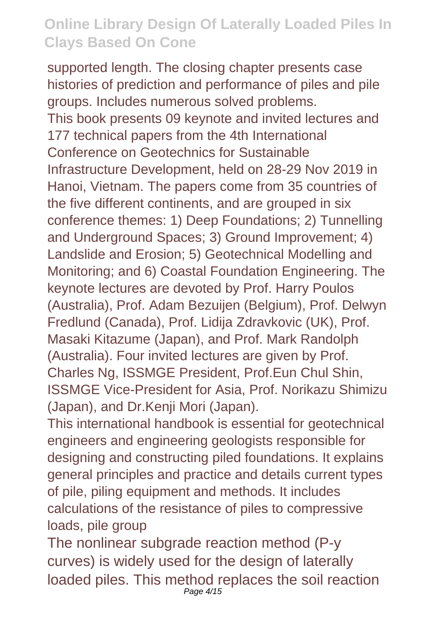supported length. The closing chapter presents case histories of prediction and performance of piles and pile groups. Includes numerous solved problems. This book presents 09 keynote and invited lectures and 177 technical papers from the 4th International Conference on Geotechnics for Sustainable Infrastructure Development, held on 28-29 Nov 2019 in Hanoi, Vietnam. The papers come from 35 countries of the five different continents, and are grouped in six conference themes: 1) Deep Foundations; 2) Tunnelling and Underground Spaces; 3) Ground Improvement; 4) Landslide and Erosion; 5) Geotechnical Modelling and Monitoring; and 6) Coastal Foundation Engineering. The keynote lectures are devoted by Prof. Harry Poulos (Australia), Prof. Adam Bezuijen (Belgium), Prof. Delwyn Fredlund (Canada), Prof. Lidija Zdravkovic (UK), Prof. Masaki Kitazume (Japan), and Prof. Mark Randolph (Australia). Four invited lectures are given by Prof. Charles Ng, ISSMGE President, Prof.Eun Chul Shin, ISSMGE Vice-President for Asia, Prof. Norikazu Shimizu (Japan), and Dr.Kenji Mori (Japan).

This international handbook is essential for geotechnical engineers and engineering geologists responsible for designing and constructing piled foundations. It explains general principles and practice and details current types of pile, piling equipment and methods. It includes calculations of the resistance of piles to compressive loads, pile group

The nonlinear subgrade reaction method (P-y curves) is widely used for the design of laterally loaded piles. This method replaces the soil reaction Page 4/15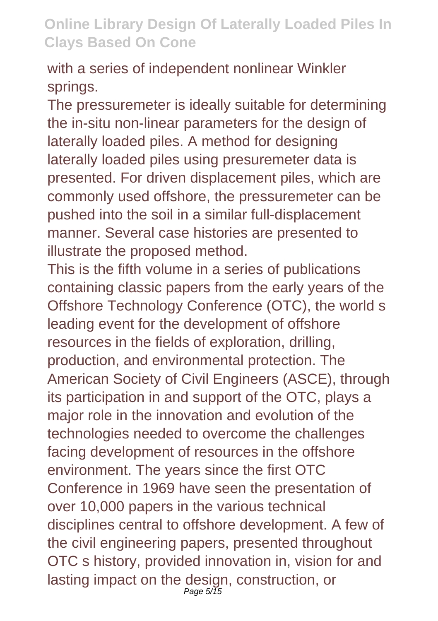with a series of independent nonlinear Winkler springs.

The pressuremeter is ideally suitable for determining the in-situ non-linear parameters for the design of laterally loaded piles. A method for designing laterally loaded piles using presuremeter data is presented. For driven displacement piles, which are commonly used offshore, the pressuremeter can be pushed into the soil in a similar full-displacement manner. Several case histories are presented to illustrate the proposed method.

This is the fifth volume in a series of publications containing classic papers from the early years of the Offshore Technology Conference (OTC), the world s leading event for the development of offshore resources in the fields of exploration, drilling, production, and environmental protection. The American Society of Civil Engineers (ASCE), through its participation in and support of the OTC, plays a major role in the innovation and evolution of the technologies needed to overcome the challenges facing development of resources in the offshore environment. The years since the first OTC Conference in 1969 have seen the presentation of over 10,000 papers in the various technical disciplines central to offshore development. A few of the civil engineering papers, presented throughout OTC s history, provided innovation in, vision for and lasting impact on the design, construction, or Page 5/15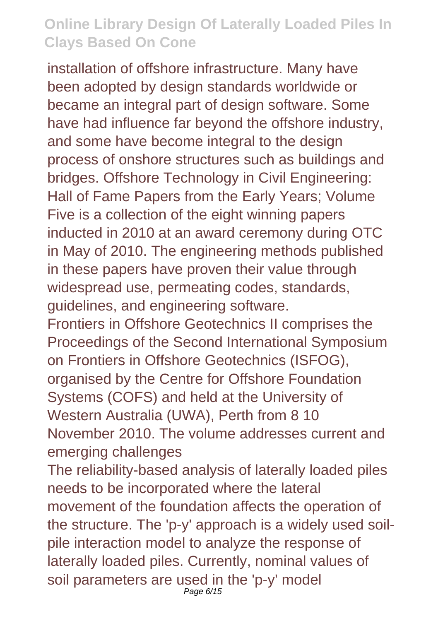installation of offshore infrastructure. Many have been adopted by design standards worldwide or became an integral part of design software. Some have had influence far beyond the offshore industry, and some have become integral to the design process of onshore structures such as buildings and bridges. Offshore Technology in Civil Engineering: Hall of Fame Papers from the Early Years; Volume Five is a collection of the eight winning papers inducted in 2010 at an award ceremony during OTC in May of 2010. The engineering methods published in these papers have proven their value through widespread use, permeating codes, standards, guidelines, and engineering software. Frontiers in Offshore Geotechnics II comprises the Proceedings of the Second International Symposium on Frontiers in Offshore Geotechnics (ISFOG), organised by the Centre for Offshore Foundation Systems (COFS) and held at the University of Western Australia (UWA), Perth from 8 10 November 2010. The volume addresses current and

emerging challenges

The reliability-based analysis of laterally loaded piles needs to be incorporated where the lateral movement of the foundation affects the operation of the structure. The 'p-y' approach is a widely used soilpile interaction model to analyze the response of laterally loaded piles. Currently, nominal values of soil parameters are used in the 'p-y' model Page 6/15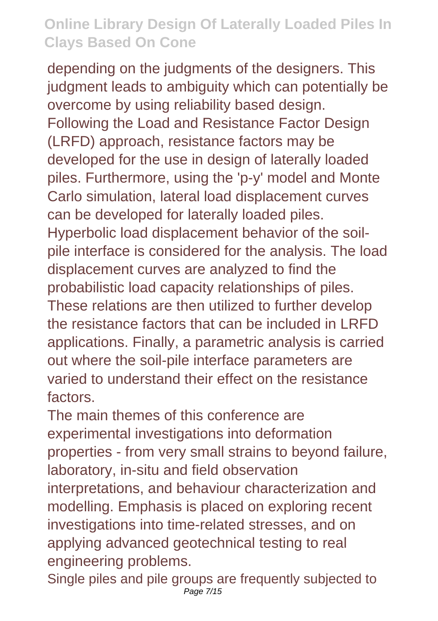depending on the judgments of the designers. This judgment leads to ambiguity which can potentially be overcome by using reliability based design. Following the Load and Resistance Factor Design (LRFD) approach, resistance factors may be developed for the use in design of laterally loaded piles. Furthermore, using the 'p-y' model and Monte Carlo simulation, lateral load displacement curves can be developed for laterally loaded piles. Hyperbolic load displacement behavior of the soilpile interface is considered for the analysis. The load displacement curves are analyzed to find the probabilistic load capacity relationships of piles. These relations are then utilized to further develop the resistance factors that can be included in LRFD applications. Finally, a parametric analysis is carried out where the soil-pile interface parameters are varied to understand their effect on the resistance factors.

The main themes of this conference are experimental investigations into deformation properties - from very small strains to beyond failure, laboratory, in-situ and field observation interpretations, and behaviour characterization and modelling. Emphasis is placed on exploring recent investigations into time-related stresses, and on applying advanced geotechnical testing to real engineering problems.

Single piles and pile groups are frequently subjected to Page 7/15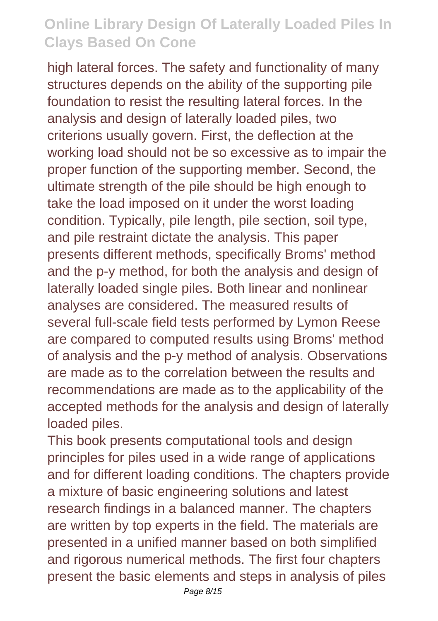high lateral forces. The safety and functionality of many structures depends on the ability of the supporting pile foundation to resist the resulting lateral forces. In the analysis and design of laterally loaded piles, two criterions usually govern. First, the deflection at the working load should not be so excessive as to impair the proper function of the supporting member. Second, the ultimate strength of the pile should be high enough to take the load imposed on it under the worst loading condition. Typically, pile length, pile section, soil type, and pile restraint dictate the analysis. This paper presents different methods, specifically Broms' method and the p-y method, for both the analysis and design of laterally loaded single piles. Both linear and nonlinear analyses are considered. The measured results of several full-scale field tests performed by Lymon Reese are compared to computed results using Broms' method of analysis and the p-y method of analysis. Observations are made as to the correlation between the results and recommendations are made as to the applicability of the accepted methods for the analysis and design of laterally loaded piles.

This book presents computational tools and design principles for piles used in a wide range of applications and for different loading conditions. The chapters provide a mixture of basic engineering solutions and latest research findings in a balanced manner. The chapters are written by top experts in the field. The materials are presented in a unified manner based on both simplified and rigorous numerical methods. The first four chapters present the basic elements and steps in analysis of piles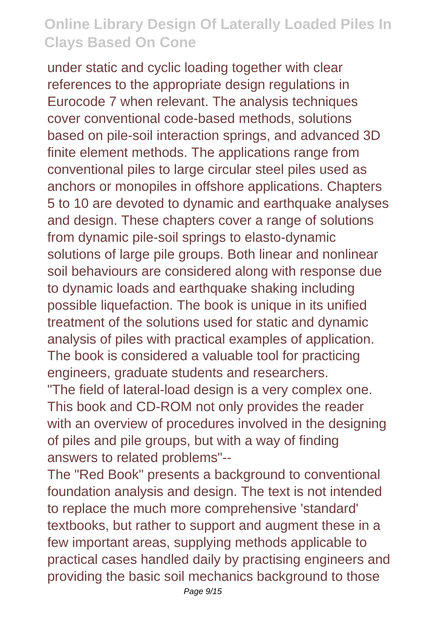under static and cyclic loading together with clear references to the appropriate design regulations in Eurocode 7 when relevant. The analysis techniques cover conventional code-based methods, solutions based on pile-soil interaction springs, and advanced 3D finite element methods. The applications range from conventional piles to large circular steel piles used as anchors or monopiles in offshore applications. Chapters 5 to 10 are devoted to dynamic and earthquake analyses and design. These chapters cover a range of solutions from dynamic pile-soil springs to elasto-dynamic solutions of large pile groups. Both linear and nonlinear soil behaviours are considered along with response due to dynamic loads and earthquake shaking including possible liquefaction. The book is unique in its unified treatment of the solutions used for static and dynamic analysis of piles with practical examples of application. The book is considered a valuable tool for practicing engineers, graduate students and researchers.

"The field of lateral-load design is a very complex one. This book and CD-ROM not only provides the reader with an overview of procedures involved in the designing of piles and pile groups, but with a way of finding answers to related problems"--

The "Red Book" presents a background to conventional foundation analysis and design. The text is not intended to replace the much more comprehensive 'standard' textbooks, but rather to support and augment these in a few important areas, supplying methods applicable to practical cases handled daily by practising engineers and providing the basic soil mechanics background to those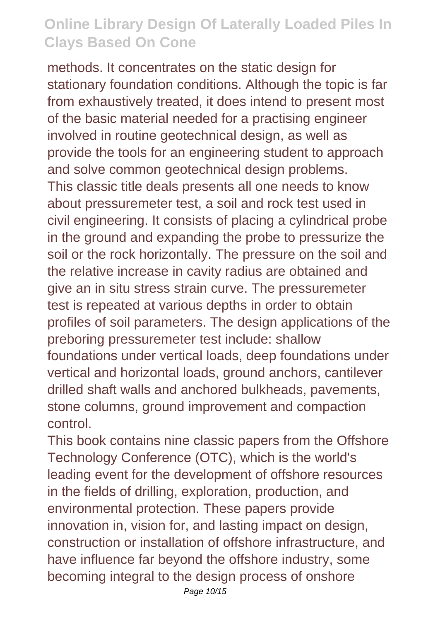methods. It concentrates on the static design for stationary foundation conditions. Although the topic is far from exhaustively treated, it does intend to present most of the basic material needed for a practising engineer involved in routine geotechnical design, as well as provide the tools for an engineering student to approach and solve common geotechnical design problems. This classic title deals presents all one needs to know about pressuremeter test, a soil and rock test used in civil engineering. It consists of placing a cylindrical probe in the ground and expanding the probe to pressurize the soil or the rock horizontally. The pressure on the soil and the relative increase in cavity radius are obtained and give an in situ stress strain curve. The pressuremeter test is repeated at various depths in order to obtain profiles of soil parameters. The design applications of the preboring pressuremeter test include: shallow foundations under vertical loads, deep foundations under vertical and horizontal loads, ground anchors, cantilever drilled shaft walls and anchored bulkheads, pavements, stone columns, ground improvement and compaction control.

This book contains nine classic papers from the Offshore Technology Conference (OTC), which is the world's leading event for the development of offshore resources in the fields of drilling, exploration, production, and environmental protection. These papers provide innovation in, vision for, and lasting impact on design, construction or installation of offshore infrastructure, and have influence far beyond the offshore industry, some becoming integral to the design process of onshore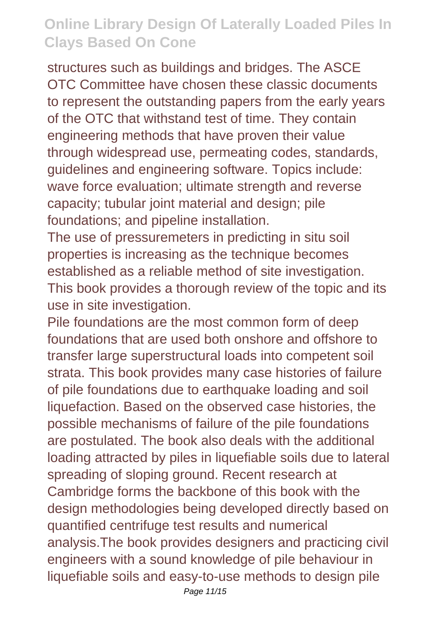structures such as buildings and bridges. The ASCE OTC Committee have chosen these classic documents to represent the outstanding papers from the early years of the OTC that withstand test of time. They contain engineering methods that have proven their value through widespread use, permeating codes, standards, guidelines and engineering software. Topics include: wave force evaluation; ultimate strength and reverse capacity; tubular joint material and design; pile foundations; and pipeline installation.

The use of pressuremeters in predicting in situ soil properties is increasing as the technique becomes established as a reliable method of site investigation. This book provides a thorough review of the topic and its use in site investigation.

Pile foundations are the most common form of deep foundations that are used both onshore and offshore to transfer large superstructural loads into competent soil strata. This book provides many case histories of failure of pile foundations due to earthquake loading and soil liquefaction. Based on the observed case histories, the possible mechanisms of failure of the pile foundations are postulated. The book also deals with the additional loading attracted by piles in liquefiable soils due to lateral spreading of sloping ground. Recent research at Cambridge forms the backbone of this book with the design methodologies being developed directly based on quantified centrifuge test results and numerical analysis.The book provides designers and practicing civil engineers with a sound knowledge of pile behaviour in liquefiable soils and easy-to-use methods to design pile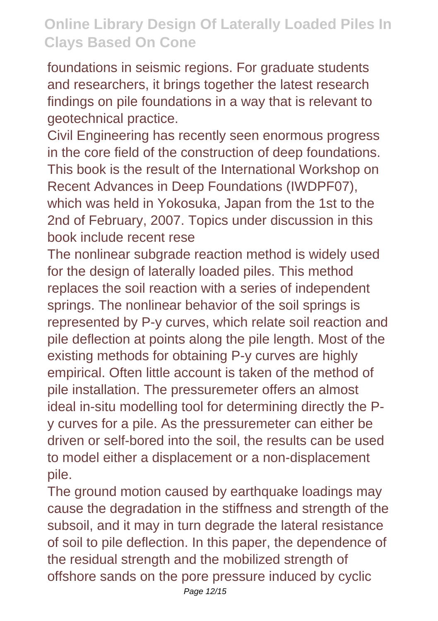foundations in seismic regions. For graduate students and researchers, it brings together the latest research findings on pile foundations in a way that is relevant to geotechnical practice.

Civil Engineering has recently seen enormous progress in the core field of the construction of deep foundations. This book is the result of the International Workshop on Recent Advances in Deep Foundations (IWDPF07), which was held in Yokosuka, Japan from the 1st to the 2nd of February, 2007. Topics under discussion in this book include recent rese

The nonlinear subgrade reaction method is widely used for the design of laterally loaded piles. This method replaces the soil reaction with a series of independent springs. The nonlinear behavior of the soil springs is represented by P-y curves, which relate soil reaction and pile deflection at points along the pile length. Most of the existing methods for obtaining P-y curves are highly empirical. Often little account is taken of the method of pile installation. The pressuremeter offers an almost ideal in-situ modelling tool for determining directly the Py curves for a pile. As the pressuremeter can either be driven or self-bored into the soil, the results can be used to model either a displacement or a non-displacement pile.

The ground motion caused by earthquake loadings may cause the degradation in the stiffness and strength of the subsoil, and it may in turn degrade the lateral resistance of soil to pile deflection. In this paper, the dependence of the residual strength and the mobilized strength of offshore sands on the pore pressure induced by cyclic

Page 12/15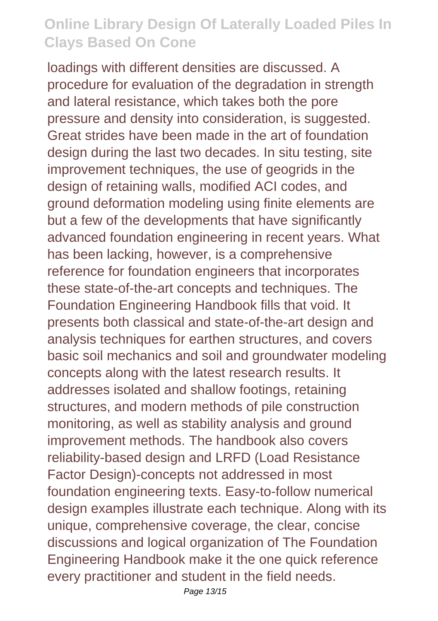loadings with different densities are discussed. A procedure for evaluation of the degradation in strength and lateral resistance, which takes both the pore pressure and density into consideration, is suggested. Great strides have been made in the art of foundation design during the last two decades. In situ testing, site improvement techniques, the use of geogrids in the design of retaining walls, modified ACI codes, and ground deformation modeling using finite elements are but a few of the developments that have significantly advanced foundation engineering in recent years. What has been lacking, however, is a comprehensive reference for foundation engineers that incorporates these state-of-the-art concepts and techniques. The Foundation Engineering Handbook fills that void. It presents both classical and state-of-the-art design and analysis techniques for earthen structures, and covers basic soil mechanics and soil and groundwater modeling concepts along with the latest research results. It addresses isolated and shallow footings, retaining structures, and modern methods of pile construction monitoring, as well as stability analysis and ground improvement methods. The handbook also covers reliability-based design and LRFD (Load Resistance Factor Design)-concepts not addressed in most foundation engineering texts. Easy-to-follow numerical design examples illustrate each technique. Along with its unique, comprehensive coverage, the clear, concise discussions and logical organization of The Foundation Engineering Handbook make it the one quick reference every practitioner and student in the field needs.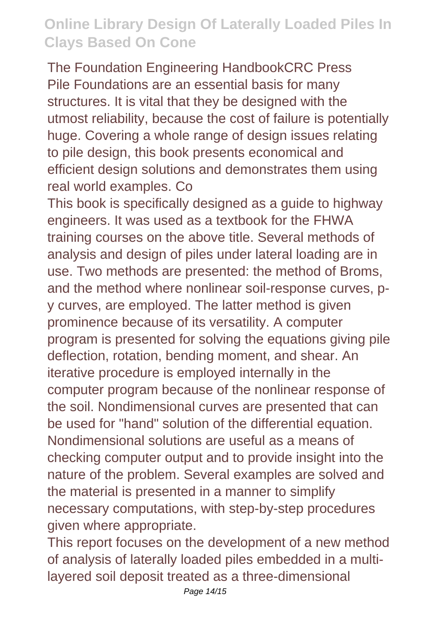The Foundation Engineering HandbookCRC Press Pile Foundations are an essential basis for many structures. It is vital that they be designed with the utmost reliability, because the cost of failure is potentially huge. Covering a whole range of design issues relating to pile design, this book presents economical and efficient design solutions and demonstrates them using real world examples. Co

This book is specifically designed as a guide to highway engineers. It was used as a textbook for the FHWA training courses on the above title. Several methods of analysis and design of piles under lateral loading are in use. Two methods are presented: the method of Broms, and the method where nonlinear soil-response curves, py curves, are employed. The latter method is given prominence because of its versatility. A computer program is presented for solving the equations giving pile deflection, rotation, bending moment, and shear. An iterative procedure is employed internally in the computer program because of the nonlinear response of the soil. Nondimensional curves are presented that can be used for "hand" solution of the differential equation. Nondimensional solutions are useful as a means of checking computer output and to provide insight into the nature of the problem. Several examples are solved and the material is presented in a manner to simplify necessary computations, with step-by-step procedures given where appropriate.

This report focuses on the development of a new method of analysis of laterally loaded piles embedded in a multilayered soil deposit treated as a three-dimensional